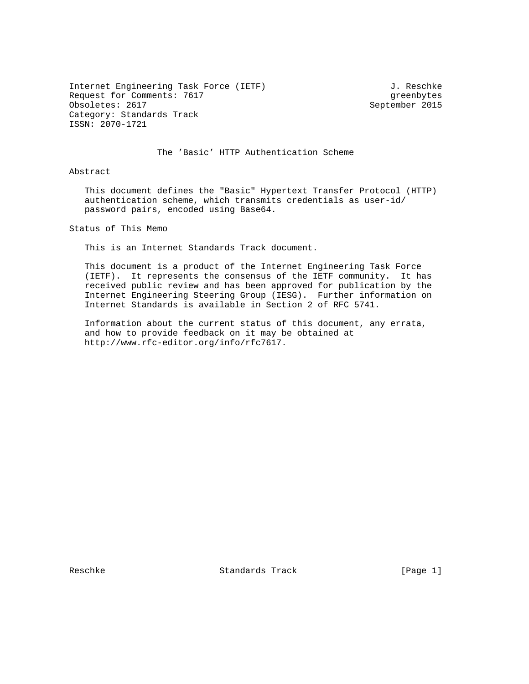Internet Engineering Task Force (IETF) 3. Reschke Request for Comments: 7617 and the settlements obsoletes: 2617 are greenbytes obsoletes: 2617 Obsoletes: 2617 Category: Standards Track ISSN: 2070-1721

#### The 'Basic' HTTP Authentication Scheme

Abstract

 This document defines the "Basic" Hypertext Transfer Protocol (HTTP) authentication scheme, which transmits credentials as user-id/ password pairs, encoded using Base64.

Status of This Memo

This is an Internet Standards Track document.

 This document is a product of the Internet Engineering Task Force (IETF). It represents the consensus of the IETF community. It has received public review and has been approved for publication by the Internet Engineering Steering Group (IESG). Further information on Internet Standards is available in Section 2 of RFC 5741.

 Information about the current status of this document, any errata, and how to provide feedback on it may be obtained at http://www.rfc-editor.org/info/rfc7617.

Reschke Standards Track [Page 1]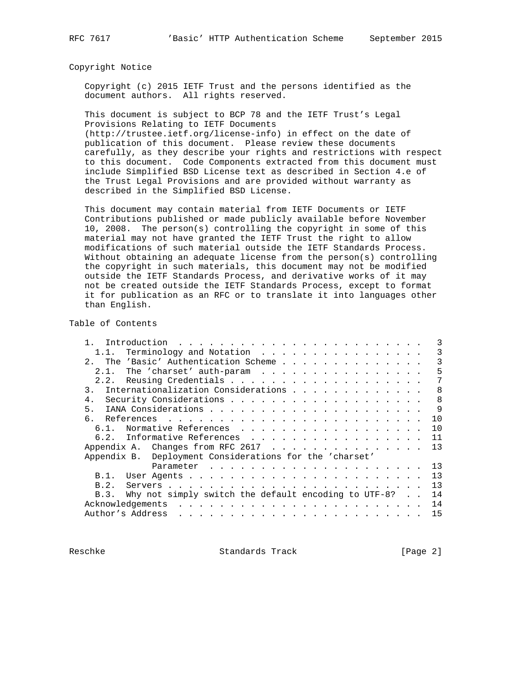#### Copyright Notice

 Copyright (c) 2015 IETF Trust and the persons identified as the document authors. All rights reserved.

 This document is subject to BCP 78 and the IETF Trust's Legal Provisions Relating to IETF Documents

 (http://trustee.ietf.org/license-info) in effect on the date of publication of this document. Please review these documents carefully, as they describe your rights and restrictions with respect to this document. Code Components extracted from this document must include Simplified BSD License text as described in Section 4.e of the Trust Legal Provisions and are provided without warranty as described in the Simplified BSD License.

 This document may contain material from IETF Documents or IETF Contributions published or made publicly available before November 10, 2008. The person(s) controlling the copyright in some of this material may not have granted the IETF Trust the right to allow modifications of such material outside the IETF Standards Process. Without obtaining an adequate license from the person(s) controlling the copyright in such materials, this document may not be modified outside the IETF Standards Process, and derivative works of it may not be created outside the IETF Standards Process, except to format it for publication as an RFC or to translate it into languages other than English.

Table of Contents

| 1.1. Terminology and Notation                                | 3  |
|--------------------------------------------------------------|----|
| The 'Basic' Authentication Scheme<br>2.                      | 3  |
|                                                              | 5  |
|                                                              | 7  |
| Internationalization Considerations<br>3.                    | 8  |
| 4.                                                           | 8  |
| 5.                                                           | 9  |
|                                                              | 10 |
| Normative References<br>$6.1$ .                              | 10 |
| 6.2. Informative References                                  | 11 |
|                                                              | 13 |
| Appendix B. Deployment Considerations for the 'charset'      |    |
|                                                              |    |
| B.1.                                                         | 13 |
| B.2.                                                         | 13 |
| Why not simply switch the default encoding to UTF-8?<br>B.3. | 14 |
| Acknowledgements                                             | 14 |
| Author's Address                                             | 15 |
|                                                              |    |

Reschke Standards Track [Page 2]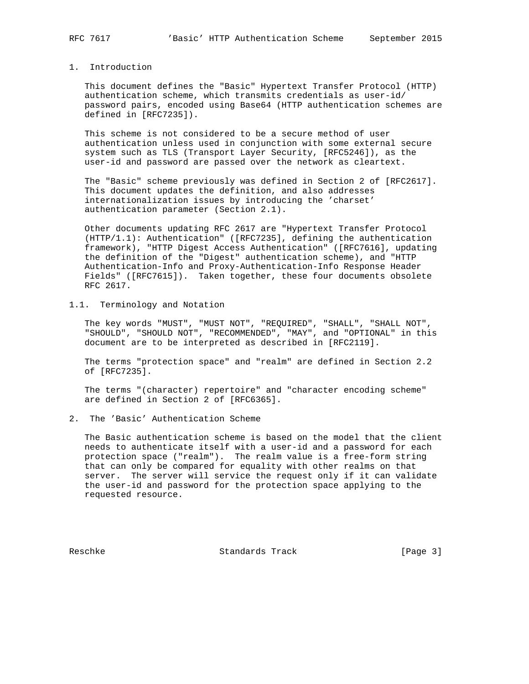## 1. Introduction

 This document defines the "Basic" Hypertext Transfer Protocol (HTTP) authentication scheme, which transmits credentials as user-id/ password pairs, encoded using Base64 (HTTP authentication schemes are defined in [RFC7235]).

 This scheme is not considered to be a secure method of user authentication unless used in conjunction with some external secure system such as TLS (Transport Layer Security, [RFC5246]), as the user-id and password are passed over the network as cleartext.

 The "Basic" scheme previously was defined in Section 2 of [RFC2617]. This document updates the definition, and also addresses internationalization issues by introducing the 'charset' authentication parameter (Section 2.1).

 Other documents updating RFC 2617 are "Hypertext Transfer Protocol (HTTP/1.1): Authentication" ([RFC7235], defining the authentication framework), "HTTP Digest Access Authentication" ([RFC7616], updating the definition of the "Digest" authentication scheme), and "HTTP Authentication-Info and Proxy-Authentication-Info Response Header Fields" ([RFC7615]). Taken together, these four documents obsolete RFC 2617.

1.1. Terminology and Notation

 The key words "MUST", "MUST NOT", "REQUIRED", "SHALL", "SHALL NOT", "SHOULD", "SHOULD NOT", "RECOMMENDED", "MAY", and "OPTIONAL" in this document are to be interpreted as described in [RFC2119].

 The terms "protection space" and "realm" are defined in Section 2.2 of [RFC7235].

 The terms "(character) repertoire" and "character encoding scheme" are defined in Section 2 of [RFC6365].

2. The 'Basic' Authentication Scheme

 The Basic authentication scheme is based on the model that the client needs to authenticate itself with a user-id and a password for each protection space ("realm"). The realm value is a free-form string that can only be compared for equality with other realms on that server. The server will service the request only if it can validate the user-id and password for the protection space applying to the requested resource.

Reschke Standards Track [Page 3]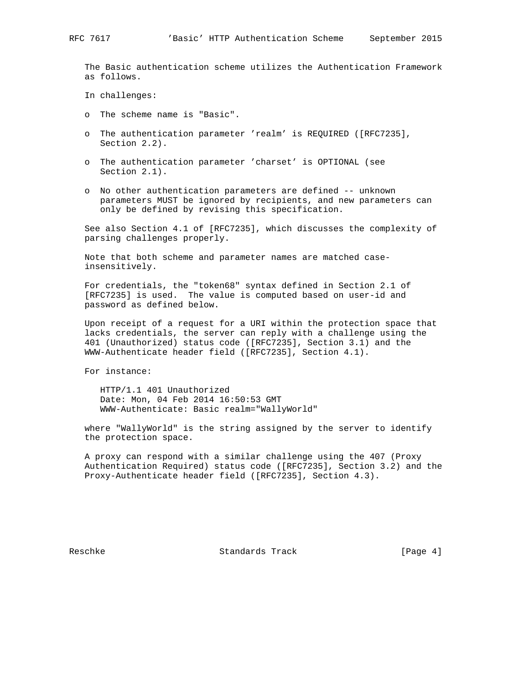The Basic authentication scheme utilizes the Authentication Framework as follows.

In challenges:

- o The scheme name is "Basic".
- o The authentication parameter 'realm' is REQUIRED ([RFC7235], Section 2.2).
- o The authentication parameter 'charset' is OPTIONAL (see Section 2.1).
- o No other authentication parameters are defined -- unknown parameters MUST be ignored by recipients, and new parameters can only be defined by revising this specification.

 See also Section 4.1 of [RFC7235], which discusses the complexity of parsing challenges properly.

 Note that both scheme and parameter names are matched case insensitively.

 For credentials, the "token68" syntax defined in Section 2.1 of [RFC7235] is used. The value is computed based on user-id and password as defined below.

 Upon receipt of a request for a URI within the protection space that lacks credentials, the server can reply with a challenge using the 401 (Unauthorized) status code ([RFC7235], Section 3.1) and the WWW-Authenticate header field ([RFC7235], Section 4.1).

For instance:

 HTTP/1.1 401 Unauthorized Date: Mon, 04 Feb 2014 16:50:53 GMT WWW-Authenticate: Basic realm="WallyWorld"

 where "WallyWorld" is the string assigned by the server to identify the protection space.

 A proxy can respond with a similar challenge using the 407 (Proxy Authentication Required) status code ([RFC7235], Section 3.2) and the Proxy-Authenticate header field ([RFC7235], Section 4.3).

Reschke Standards Track [Page 4]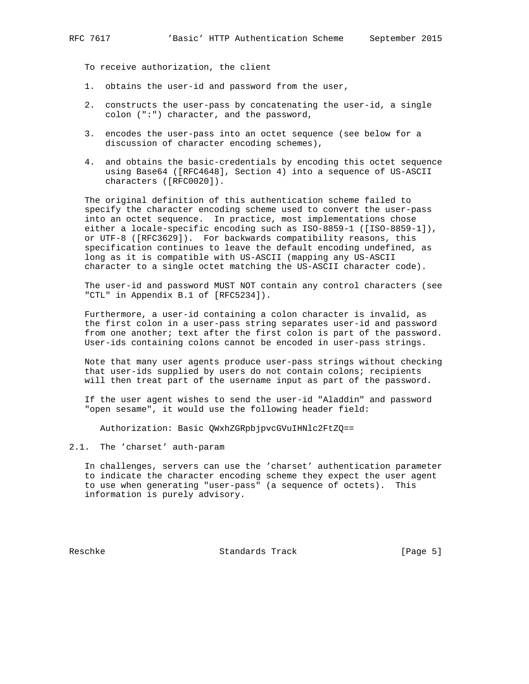To receive authorization, the client

- 1. obtains the user-id and password from the user,
- 2. constructs the user-pass by concatenating the user-id, a single colon (":") character, and the password,
- 3. encodes the user-pass into an octet sequence (see below for a discussion of character encoding schemes),
- 4. and obtains the basic-credentials by encoding this octet sequence using Base64 ([RFC4648], Section 4) into a sequence of US-ASCII characters ([RFC0020]).

 The original definition of this authentication scheme failed to specify the character encoding scheme used to convert the user-pass into an octet sequence. In practice, most implementations chose either a locale-specific encoding such as ISO-8859-1 ([ISO-8859-1]), or UTF-8 ([RFC3629]). For backwards compatibility reasons, this specification continues to leave the default encoding undefined, as long as it is compatible with US-ASCII (mapping any US-ASCII character to a single octet matching the US-ASCII character code).

 The user-id and password MUST NOT contain any control characters (see "CTL" in Appendix B.1 of [RFC5234]).

 Furthermore, a user-id containing a colon character is invalid, as the first colon in a user-pass string separates user-id and password from one another; text after the first colon is part of the password. User-ids containing colons cannot be encoded in user-pass strings.

 Note that many user agents produce user-pass strings without checking that user-ids supplied by users do not contain colons; recipients will then treat part of the username input as part of the password.

 If the user agent wishes to send the user-id "Aladdin" and password "open sesame", it would use the following header field:

Authorization: Basic QWxhZGRpbjpvcGVuIHNlc2FtZQ==

2.1. The 'charset' auth-param

 In challenges, servers can use the 'charset' authentication parameter to indicate the character encoding scheme they expect the user agent to use when generating "user-pass" (a sequence of octets). This information is purely advisory.

Reschke Standards Track [Page 5]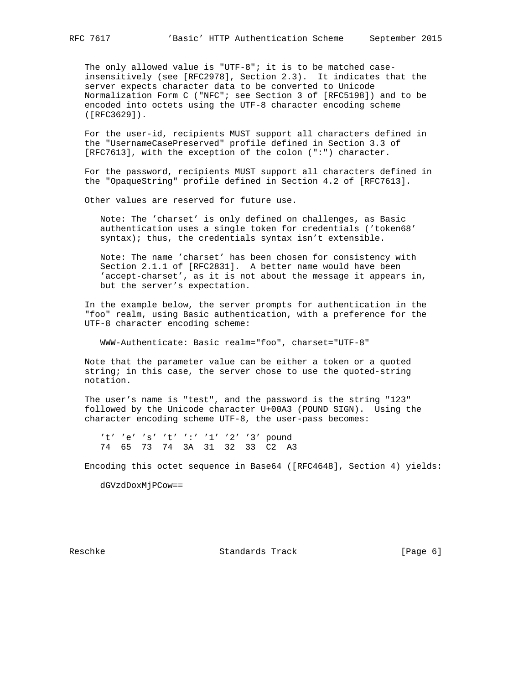The only allowed value is "UTF-8"; it is to be matched case insensitively (see [RFC2978], Section 2.3). It indicates that the server expects character data to be converted to Unicode Normalization Form C ("NFC"; see Section 3 of [RFC5198]) and to be encoded into octets using the UTF-8 character encoding scheme ([RFC3629]).

 For the user-id, recipients MUST support all characters defined in the "UsernameCasePreserved" profile defined in Section 3.3 of [RFC7613], with the exception of the colon (":") character.

 For the password, recipients MUST support all characters defined in the "OpaqueString" profile defined in Section 4.2 of [RFC7613].

Other values are reserved for future use.

 Note: The 'charset' is only defined on challenges, as Basic authentication uses a single token for credentials ('token68' syntax); thus, the credentials syntax isn't extensible.

 Note: The name 'charset' has been chosen for consistency with Section 2.1.1 of [RFC2831]. A better name would have been 'accept-charset', as it is not about the message it appears in, but the server's expectation.

 In the example below, the server prompts for authentication in the "foo" realm, using Basic authentication, with a preference for the UTF-8 character encoding scheme:

WWW-Authenticate: Basic realm="foo", charset="UTF-8"

 Note that the parameter value can be either a token or a quoted string; in this case, the server chose to use the quoted-string notation.

 The user's name is "test", and the password is the string "123" followed by the Unicode character U+00A3 (POUND SIGN). Using the character encoding scheme UTF-8, the user-pass becomes:

't' 'e' 's' 't' ':' '1' '2' '3' pound 74 65 73 74 3A 31 32 33 C2 A3

Encoding this octet sequence in Base64 ([RFC4648], Section 4) yields:

dGVzdDoxMjPCow==

Reschke Standards Track [Page 6]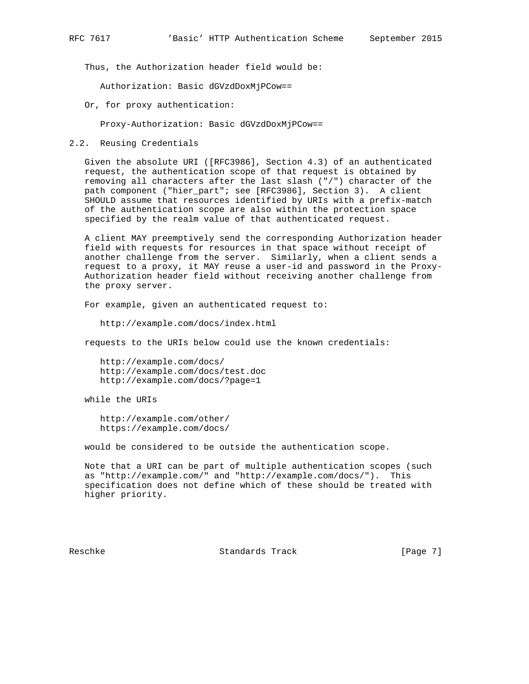Thus, the Authorization header field would be:

Authorization: Basic dGVzdDoxMjPCow==

Or, for proxy authentication:

Proxy-Authorization: Basic dGVzdDoxMjPCow==

2.2. Reusing Credentials

 Given the absolute URI ([RFC3986], Section 4.3) of an authenticated request, the authentication scope of that request is obtained by removing all characters after the last slash ("/") character of the path component ("hier\_part"; see [RFC3986], Section 3). A client SHOULD assume that resources identified by URIs with a prefix-match of the authentication scope are also within the protection space specified by the realm value of that authenticated request.

 A client MAY preemptively send the corresponding Authorization header field with requests for resources in that space without receipt of another challenge from the server. Similarly, when a client sends a request to a proxy, it MAY reuse a user-id and password in the Proxy- Authorization header field without receiving another challenge from the proxy server.

For example, given an authenticated request to:

http://example.com/docs/index.html

requests to the URIs below could use the known credentials:

 http://example.com/docs/ http://example.com/docs/test.doc http://example.com/docs/?page=1

while the URIs

 http://example.com/other/ https://example.com/docs/

would be considered to be outside the authentication scope.

 Note that a URI can be part of multiple authentication scopes (such as "http://example.com/" and "http://example.com/docs/"). This specification does not define which of these should be treated with higher priority.

Reschke Standards Track [Page 7]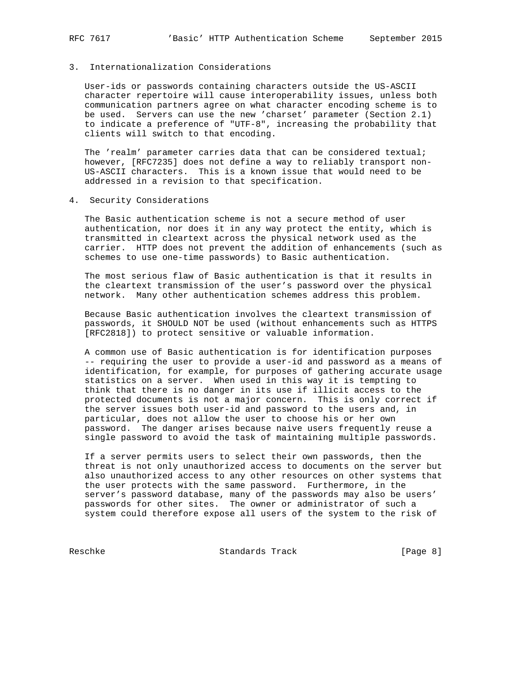## 3. Internationalization Considerations

 User-ids or passwords containing characters outside the US-ASCII character repertoire will cause interoperability issues, unless both communication partners agree on what character encoding scheme is to be used. Servers can use the new 'charset' parameter (Section 2.1) to indicate a preference of "UTF-8", increasing the probability that clients will switch to that encoding.

 The 'realm' parameter carries data that can be considered textual; however, [RFC7235] does not define a way to reliably transport non- US-ASCII characters. This is a known issue that would need to be addressed in a revision to that specification.

4. Security Considerations

 The Basic authentication scheme is not a secure method of user authentication, nor does it in any way protect the entity, which is transmitted in cleartext across the physical network used as the carrier. HTTP does not prevent the addition of enhancements (such as schemes to use one-time passwords) to Basic authentication.

 The most serious flaw of Basic authentication is that it results in the cleartext transmission of the user's password over the physical network. Many other authentication schemes address this problem.

 Because Basic authentication involves the cleartext transmission of passwords, it SHOULD NOT be used (without enhancements such as HTTPS [RFC2818]) to protect sensitive or valuable information.

 A common use of Basic authentication is for identification purposes -- requiring the user to provide a user-id and password as a means of identification, for example, for purposes of gathering accurate usage statistics on a server. When used in this way it is tempting to think that there is no danger in its use if illicit access to the protected documents is not a major concern. This is only correct if the server issues both user-id and password to the users and, in particular, does not allow the user to choose his or her own password. The danger arises because naive users frequently reuse a single password to avoid the task of maintaining multiple passwords.

 If a server permits users to select their own passwords, then the threat is not only unauthorized access to documents on the server but also unauthorized access to any other resources on other systems that the user protects with the same password. Furthermore, in the server's password database, many of the passwords may also be users' passwords for other sites. The owner or administrator of such a system could therefore expose all users of the system to the risk of

Reschke Standards Track [Page 8]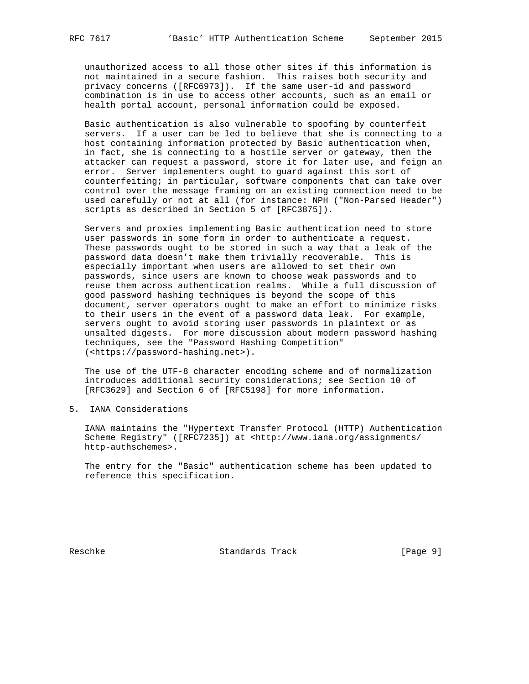unauthorized access to all those other sites if this information is not maintained in a secure fashion. This raises both security and privacy concerns ([RFC6973]). If the same user-id and password combination is in use to access other accounts, such as an email or health portal account, personal information could be exposed.

 Basic authentication is also vulnerable to spoofing by counterfeit servers. If a user can be led to believe that she is connecting to a host containing information protected by Basic authentication when, in fact, she is connecting to a hostile server or gateway, then the attacker can request a password, store it for later use, and feign an error. Server implementers ought to guard against this sort of counterfeiting; in particular, software components that can take over control over the message framing on an existing connection need to be used carefully or not at all (for instance: NPH ("Non-Parsed Header") scripts as described in Section 5 of [RFC3875]).

 Servers and proxies implementing Basic authentication need to store user passwords in some form in order to authenticate a request. These passwords ought to be stored in such a way that a leak of the password data doesn't make them trivially recoverable. This is especially important when users are allowed to set their own passwords, since users are known to choose weak passwords and to reuse them across authentication realms. While a full discussion of good password hashing techniques is beyond the scope of this document, server operators ought to make an effort to minimize risks to their users in the event of a password data leak. For example, servers ought to avoid storing user passwords in plaintext or as unsalted digests. For more discussion about modern password hashing techniques, see the "Password Hashing Competition" (<https://password-hashing.net>).

 The use of the UTF-8 character encoding scheme and of normalization introduces additional security considerations; see Section 10 of [RFC3629] and Section 6 of [RFC5198] for more information.

5. IANA Considerations

 IANA maintains the "Hypertext Transfer Protocol (HTTP) Authentication Scheme Registry" ([RFC7235]) at <http://www.iana.org/assignments/ http-authschemes>.

 The entry for the "Basic" authentication scheme has been updated to reference this specification.

Reschke Standards Track [Page 9]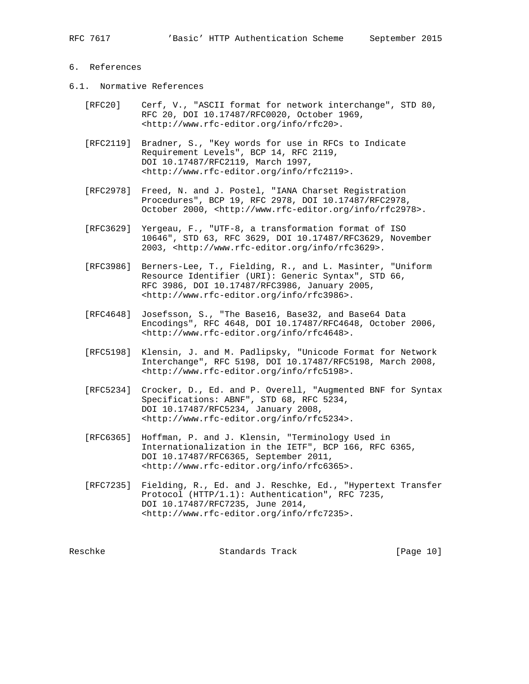# 6. References

- 6.1. Normative References
	- [RFC20] Cerf, V., "ASCII format for network interchange", STD 80, RFC 20, DOI 10.17487/RFC0020, October 1969, <http://www.rfc-editor.org/info/rfc20>.
	- [RFC2119] Bradner, S., "Key words for use in RFCs to Indicate Requirement Levels", BCP 14, RFC 2119, DOI 10.17487/RFC2119, March 1997, <http://www.rfc-editor.org/info/rfc2119>.
	- [RFC2978] Freed, N. and J. Postel, "IANA Charset Registration Procedures", BCP 19, RFC 2978, DOI 10.17487/RFC2978, October 2000, <http://www.rfc-editor.org/info/rfc2978>.
	- [RFC3629] Yergeau, F., "UTF-8, a transformation format of ISO 10646", STD 63, RFC 3629, DOI 10.17487/RFC3629, November 2003, <http://www.rfc-editor.org/info/rfc3629>.
	- [RFC3986] Berners-Lee, T., Fielding, R., and L. Masinter, "Uniform Resource Identifier (URI): Generic Syntax", STD 66, RFC 3986, DOI 10.17487/RFC3986, January 2005, <http://www.rfc-editor.org/info/rfc3986>.
	- [RFC4648] Josefsson, S., "The Base16, Base32, and Base64 Data Encodings", RFC 4648, DOI 10.17487/RFC4648, October 2006, <http://www.rfc-editor.org/info/rfc4648>.
	- [RFC5198] Klensin, J. and M. Padlipsky, "Unicode Format for Network Interchange", RFC 5198, DOI 10.17487/RFC5198, March 2008, <http://www.rfc-editor.org/info/rfc5198>.
	- [RFC5234] Crocker, D., Ed. and P. Overell, "Augmented BNF for Syntax Specifications: ABNF", STD 68, RFC 5234, DOI 10.17487/RFC5234, January 2008, <http://www.rfc-editor.org/info/rfc5234>.
	- [RFC6365] Hoffman, P. and J. Klensin, "Terminology Used in Internationalization in the IETF", BCP 166, RFC 6365, DOI 10.17487/RFC6365, September 2011, <http://www.rfc-editor.org/info/rfc6365>.
	- [RFC7235] Fielding, R., Ed. and J. Reschke, Ed., "Hypertext Transfer Protocol (HTTP/1.1): Authentication", RFC 7235, DOI 10.17487/RFC7235, June 2014, <http://www.rfc-editor.org/info/rfc7235>.

Reschke Standards Track [Page 10]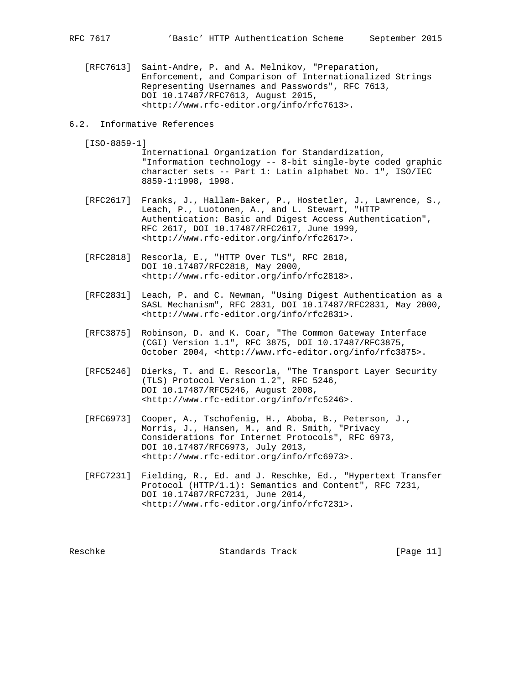[RFC7613] Saint-Andre, P. and A. Melnikov, "Preparation, Enforcement, and Comparison of Internationalized Strings Representing Usernames and Passwords", RFC 7613, DOI 10.17487/RFC7613, August 2015, <http://www.rfc-editor.org/info/rfc7613>.

### 6.2. Informative References

- [ISO-8859-1]
	- International Organization for Standardization, "Information technology -- 8-bit single-byte coded graphic character sets -- Part 1: Latin alphabet No. 1", ISO/IEC 8859-1:1998, 1998.
- [RFC2617] Franks, J., Hallam-Baker, P., Hostetler, J., Lawrence, S., Leach, P., Luotonen, A., and L. Stewart, "HTTP Authentication: Basic and Digest Access Authentication", RFC 2617, DOI 10.17487/RFC2617, June 1999, <http://www.rfc-editor.org/info/rfc2617>.
- [RFC2818] Rescorla, E., "HTTP Over TLS", RFC 2818, DOI 10.17487/RFC2818, May 2000, <http://www.rfc-editor.org/info/rfc2818>.
- [RFC2831] Leach, P. and C. Newman, "Using Digest Authentication as a SASL Mechanism", RFC 2831, DOI 10.17487/RFC2831, May 2000, <http://www.rfc-editor.org/info/rfc2831>.
- [RFC3875] Robinson, D. and K. Coar, "The Common Gateway Interface (CGI) Version 1.1", RFC 3875, DOI 10.17487/RFC3875, October 2004, <http://www.rfc-editor.org/info/rfc3875>.
- [RFC5246] Dierks, T. and E. Rescorla, "The Transport Layer Security (TLS) Protocol Version 1.2", RFC 5246, DOI 10.17487/RFC5246, August 2008, <http://www.rfc-editor.org/info/rfc5246>.
- [RFC6973] Cooper, A., Tschofenig, H., Aboba, B., Peterson, J., Morris, J., Hansen, M., and R. Smith, "Privacy Considerations for Internet Protocols", RFC 6973, DOI 10.17487/RFC6973, July 2013, <http://www.rfc-editor.org/info/rfc6973>.
- [RFC7231] Fielding, R., Ed. and J. Reschke, Ed., "Hypertext Transfer Protocol (HTTP/1.1): Semantics and Content", RFC 7231, DOI 10.17487/RFC7231, June 2014, <http://www.rfc-editor.org/info/rfc7231>.

Reschke Standards Track [Page 11]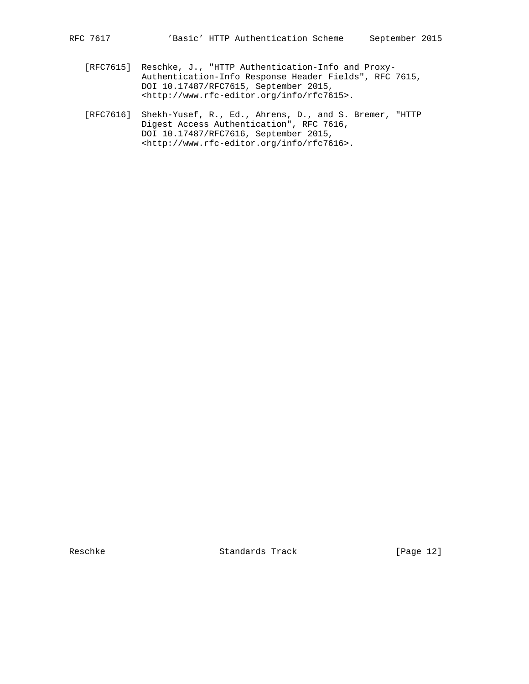- [RFC7615] Reschke, J., "HTTP Authentication-Info and Proxy- Authentication-Info Response Header Fields", RFC 7615, DOI 10.17487/RFC7615, September 2015, <http://www.rfc-editor.org/info/rfc7615>.
- [RFC7616] Shekh-Yusef, R., Ed., Ahrens, D., and S. Bremer, "HTTP Digest Access Authentication", RFC 7616, DOI 10.17487/RFC7616, September 2015, <http://www.rfc-editor.org/info/rfc7616>.

Reschke Standards Track [Page 12]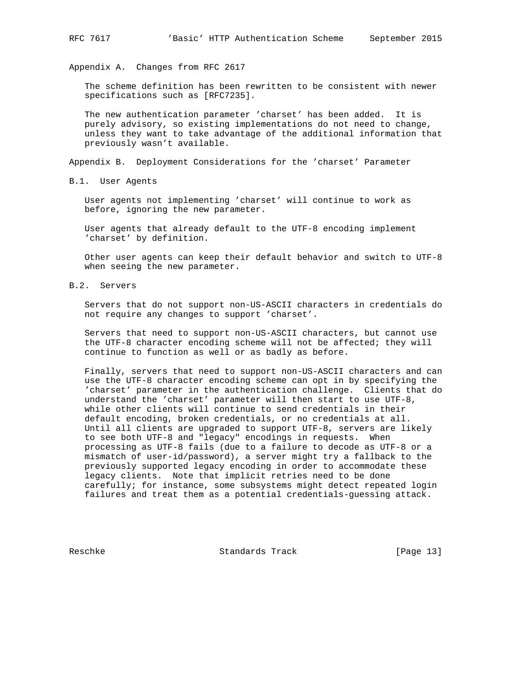Appendix A. Changes from RFC 2617

 The scheme definition has been rewritten to be consistent with newer specifications such as [RFC7235].

 The new authentication parameter 'charset' has been added. It is purely advisory, so existing implementations do not need to change, unless they want to take advantage of the additional information that previously wasn't available.

Appendix B. Deployment Considerations for the 'charset' Parameter

B.1. User Agents

 User agents not implementing 'charset' will continue to work as before, ignoring the new parameter.

 User agents that already default to the UTF-8 encoding implement 'charset' by definition.

 Other user agents can keep their default behavior and switch to UTF-8 when seeing the new parameter.

B.2. Servers

 Servers that do not support non-US-ASCII characters in credentials do not require any changes to support 'charset'.

 Servers that need to support non-US-ASCII characters, but cannot use the UTF-8 character encoding scheme will not be affected; they will continue to function as well or as badly as before.

 Finally, servers that need to support non-US-ASCII characters and can use the UTF-8 character encoding scheme can opt in by specifying the 'charset' parameter in the authentication challenge. Clients that do understand the 'charset' parameter will then start to use UTF-8, while other clients will continue to send credentials in their default encoding, broken credentials, or no credentials at all. Until all clients are upgraded to support UTF-8, servers are likely to see both UTF-8 and "legacy" encodings in requests. When processing as UTF-8 fails (due to a failure to decode as UTF-8 or a mismatch of user-id/password), a server might try a fallback to the previously supported legacy encoding in order to accommodate these legacy clients. Note that implicit retries need to be done carefully; for instance, some subsystems might detect repeated login failures and treat them as a potential credentials-guessing attack.

Reschke Standards Track [Page 13]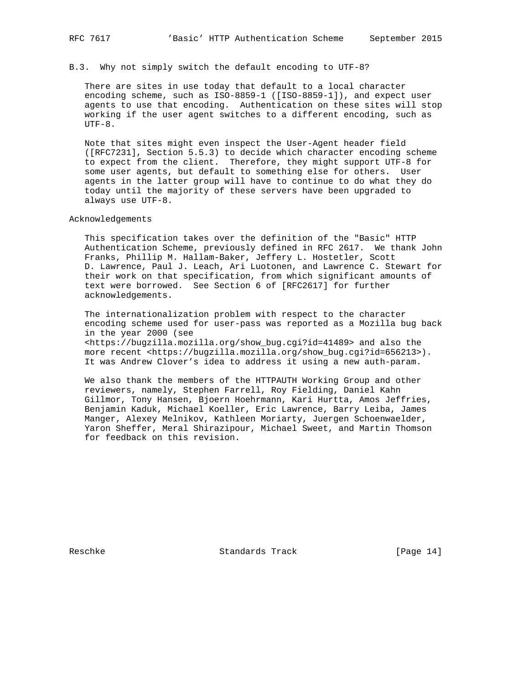B.3. Why not simply switch the default encoding to UTF-8?

 There are sites in use today that default to a local character encoding scheme, such as ISO-8859-1 ([ISO-8859-1]), and expect user agents to use that encoding. Authentication on these sites will stop working if the user agent switches to a different encoding, such as  $UTF-8.$ 

 Note that sites might even inspect the User-Agent header field ([RFC7231], Section 5.5.3) to decide which character encoding scheme to expect from the client. Therefore, they might support UTF-8 for some user agents, but default to something else for others. User agents in the latter group will have to continue to do what they do today until the majority of these servers have been upgraded to always use UTF-8.

Acknowledgements

 This specification takes over the definition of the "Basic" HTTP Authentication Scheme, previously defined in RFC 2617. We thank John Franks, Phillip M. Hallam-Baker, Jeffery L. Hostetler, Scott D. Lawrence, Paul J. Leach, Ari Luotonen, and Lawrence C. Stewart for their work on that specification, from which significant amounts of text were borrowed. See Section 6 of [RFC2617] for further acknowledgements.

 The internationalization problem with respect to the character encoding scheme used for user-pass was reported as a Mozilla bug back in the year 2000 (see <https://bugzilla.mozilla.org/show\_bug.cgi?id=41489> and also the more recent <https://bugzilla.mozilla.org/show\_bug.cgi?id=656213>). It was Andrew Clover's idea to address it using a new auth-param.

 We also thank the members of the HTTPAUTH Working Group and other reviewers, namely, Stephen Farrell, Roy Fielding, Daniel Kahn Gillmor, Tony Hansen, Bjoern Hoehrmann, Kari Hurtta, Amos Jeffries, Benjamin Kaduk, Michael Koeller, Eric Lawrence, Barry Leiba, James Manger, Alexey Melnikov, Kathleen Moriarty, Juergen Schoenwaelder, Yaron Sheffer, Meral Shirazipour, Michael Sweet, and Martin Thomson for feedback on this revision.

Reschke Standards Track [Page 14]